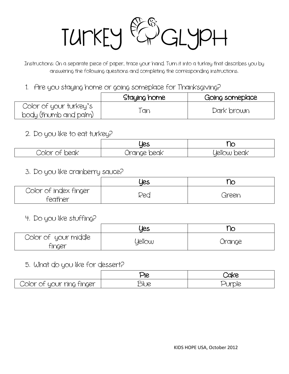

Instructions: On a separate piece of paper, trace your hand. Turn it into a turkey that describes you by answering the following questions and completing the corresponding instructions.

1. Are you staying home or going someplace for Thanksgiving?

|                                                 | Staying home | Going someplace |
|-------------------------------------------------|--------------|-----------------|
| Color of your turkey's<br>body (thumb and palm) | Tan          | Dark brown      |

### 2. Do you like to eat turkey?

|               | Ues         | $\sim$<br>∼        |
|---------------|-------------|--------------------|
| Color of beak | Orange beak | <b>yellow beak</b> |

### 3. Do you like cranberry sauce?

|                                  | Ues | ∿∼    |
|----------------------------------|-----|-------|
| Color of index finger<br>feather | Rea | Green |

4. Do you like stuffing?

|                                | yes    | ↷      |
|--------------------------------|--------|--------|
| Color of your middle<br>finger | Yellow | Orange |

### 5. What do you like for dessert?

|                           | Die  | <b>Cake</b>                       |
|---------------------------|------|-----------------------------------|
| Color of your ring finger | DIUE | 100 <sup>2</sup><br><b>UI DIE</b> |